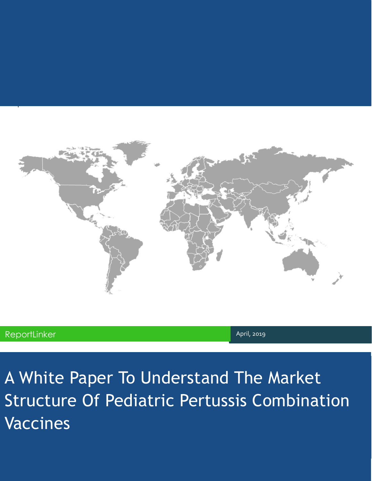

pla

A White Paper To Understand The Market Structure Of Pediatric Pertussis Combination Vaccines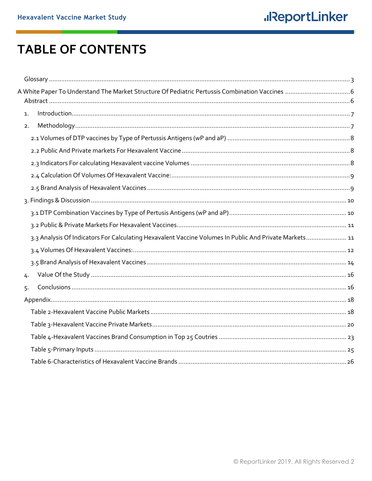## **TABLE OF CONTENTS**

| 1.                                                                                                     |  |
|--------------------------------------------------------------------------------------------------------|--|
| 2.                                                                                                     |  |
|                                                                                                        |  |
|                                                                                                        |  |
|                                                                                                        |  |
|                                                                                                        |  |
|                                                                                                        |  |
|                                                                                                        |  |
|                                                                                                        |  |
|                                                                                                        |  |
| 3.3 Analysis Of Indicators For Calculating Hexavalent Vaccine Volumes In Public And Private Markets 11 |  |
|                                                                                                        |  |
|                                                                                                        |  |
| 4.                                                                                                     |  |
| 5.                                                                                                     |  |
|                                                                                                        |  |
|                                                                                                        |  |
|                                                                                                        |  |
|                                                                                                        |  |
|                                                                                                        |  |
|                                                                                                        |  |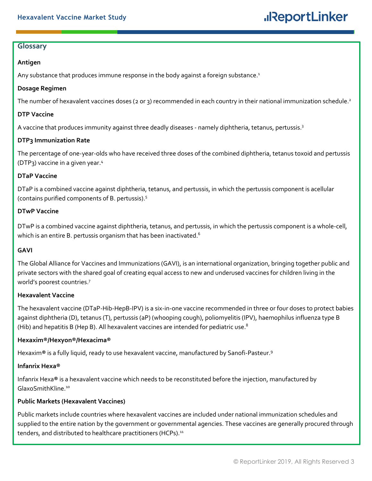### <span id="page-2-0"></span>**Glossary**

### **Antigen**

Any substance that produces immune response in the body against a foreign substance.<sup>1</sup>

### **Dosage Regimen**

The number of hexavalent vaccines doses (2 or 3) recommended in each country in their national immunization schedule.<sup>2</sup>

#### **DTP Vaccine**

A vaccine that produces immunity against three deadly diseases - namely diphtheria, tetanus, pertussis.<sup>3</sup>

### **DTP3 Immunization Rate**

The percentage of one-year-olds who have received three doses of the combined diphtheria, tetanus toxoid and pertussis (DTP3) vaccine in a given year.<sup>4</sup>

#### **DTaP Vaccine**

DTaP is a combined vaccine against diphtheria, tetanus, and pertussis, in which the pertussis component is acellular (contains purified components of B. pertussis). 5

### **DTwP Vaccine**

DTwP is a combined vaccine against diphtheria, tetanus, and pertussis, in which the pertussis component is a whole-cell, which is an entire B. pertussis organism that has been inactivated. $^{\rm 6}$ 

## **GAVI**

The Global Alliance for Vaccines and Immunizations (GAVI), is an international organization, bringing together public and private sectors with the shared goal of creating equal access to new and underused vaccines for children living in the world's poorest countries.<sup>7</sup>

#### **Hexavalent Vaccine**

The hexavalent vaccine (DTaP-Hib-HepB-IPV) is a six-in-one vaccine recommended in three or four doses to protect babies against diphtheria (D), tetanus (T), pertussis (aP) (whooping cough), poliomyelitis (IPV), haemophilus influenza type B (Hib) and hepatitis B (Hep B). All hexavalent vaccines are intended for pediatric use.<sup>8</sup>

## **Hexaxim®/Hexyon®/Hexacima®**

Hexaxim**®** is a fully liquid, ready to use hexavalent vaccine, manufactured by Sanofi-Pasteur.<sup>9</sup>

#### **Infanrix Hexa®**

Infanrix Hexa**®** is a hexavalent vaccine which needs to be reconstituted before the injection, manufactured by GlaxoSmithKline.<sup>10</sup>

## **Public Markets (Hexavalent Vaccines)**

Public markets include countries where hexavalent vaccines are included under national immunization schedules and supplied to the entire nation by the government or governmental agencies. These vaccines are generally procured through tenders, and distributed to healthcare practitioners (HCPs).<sup>11</sup>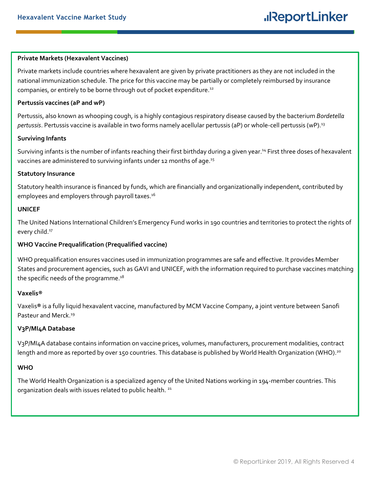#### **Private Markets (Hexavalent Vaccines)**

Private markets include countries where hexavalent are given by private practitioners as they are not included in the national immunization schedule. The price for this vaccine may be partially or completely reimbursed by insurance companies, or entirely to be borne through out of pocket expenditure.<sup>12</sup>

#### **Pertussis vaccines (aP and wP)**

Pertussis, also known as whooping cough, is a highly contagious respiratory disease caused by the bacterium *Bordetella pertussis*. Pertussis vaccine is available in two forms namely acellular pertussis (aP) or whole-cell pertussis (wP).<sup>13</sup>

#### **Surviving Infants**

Surviving infants is the number of infants reaching their first birthday during a given year.<sup>14</sup> First three doses of hexavalent vaccines are administered to surviving infants under 12 months of age.<sup>15</sup>

#### **Statutory Insurance**

Statutory health insurance is financed by funds, which are financially and organizationally independent, contributed by employees and employers through payroll taxes.<sup>16</sup>

#### **UNICEF**

The United Nations International Children's Emergency Fund works in 190 countries and territories to protect the rights of every child.<sup>17</sup>

#### **WHO Vaccine Prequalification (Prequalified vaccine)**

WHO prequalification ensures vaccines used in immunization programmes are safe and effective. It provides Member States and procurement agencies, such as GAVI and UNICEF, with the information required to purchase vaccines matching the specific needs of the programme. $^{\rm 18}$ 

#### **Vaxelis®**

Vaxelis**®** is a fully liquid hexavalent vaccine, manufactured by MCM Vaccine Company, a joint venture between Sanofi Pasteur and Merck.<sup>19</sup>

#### **V3P/MI4A Database**

V3P/MI4A database contains information on vaccine prices, volumes, manufacturers, procurement modalities, contract length and more as reported by over 150 countries. This database is published by World Health Organization (WHO).<sup>20</sup>

#### **WHO**

The World Health Organization is a specialized agency of the United Nations working in 194-member countries. This organization deals with issues related to public health.<sup>21</sup>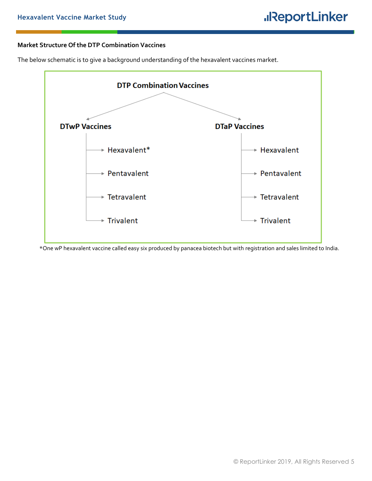#### **Market Structure Of the DTP Combination Vaccines**

The below schematic is to give a background understanding of the hexavalent vaccines market.



\*One wP hexavalent vaccine called easy six produced by panacea biotech but with registration and sales limited to India.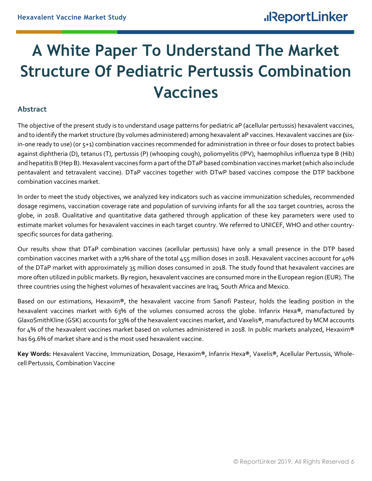# <span id="page-5-0"></span>**A White Paper To Understand The Market Structure Of Pediatric Pertussis Combination Vaccines**

## <span id="page-5-1"></span>**Abstract**

The objective of the present study is to understand usage patterns for pediatric aP (acellular pertussis) hexavalent vaccines, and to identify the market structure (by volumes administered) among hexavalent aP vaccines. Hexavalent vaccines are **(**sixin-one ready to use) (or 5+1) combination vaccines recommended for administration in three or four doses to protect babies against diphtheria (D), tetanus (T), pertussis (P) (whooping cough), poliomyelitis (IPV), haemophilus influenza type B (Hib) and hepatitis B (Hep B). Hexavalent vaccines form a part of the DTaP based combination vaccines market (which also include pentavalent and tetravalent vaccine). DTaP vaccines together with DTwP based vaccines compose the DTP backbone combination vaccines market.

In order to meet the study objectives, we analyzed key indicators such as vaccine immunization schedules, recommended dosage regimens, vaccination coverage rate and population of surviving infants for all the 102 target countries, across the globe, in 2018. Qualitative and quantitative data gathered through application of these key parameters were used to estimate market volumes for hexavalent vaccines in each target country. We referred to UNICEF, WHO and other countryspecific sources for data gathering.

Our results show that DTaP combination vaccines (acellular pertussis) have only a small presence in the DTP based combination vaccines market with a 17% share of the total 455 million doses in 2018. Hexavalent vaccines account for 40% of the DTaP market with approximately 35 million doses consumed in 2018. The study found that hexavalent vaccines are more often utilized in public markets. By region, hexavalent vaccines are consumed more in the European region (EUR). The three countries using the highest volumes of hexavalent vaccines are Iraq, South Africa and Mexico.

Based on our estimations, Hexaxim**®**, the hexavalent vaccine from Sanofi Pasteur, holds the leading position in the hexavalent vaccines market with 63% of the volumes consumed across the globe. Infanrix Hexa**®**, manufactured by GlaxoSmithKline (GSK) accounts for 33% of the hexavalent vaccines market, and Vaxelis**®**, manufactured by MCM accounts for 4% of the hexavalent vaccines market based on volumes administered in 2018. In public markets analyzed, Hexaxim**®**  has 69.6% of market share and is the most used hexavalent vaccine.

**Key Words:** Hexavalent Vaccine, Immunization, Dosage, Hexaxim**®**, Infanrix Hexa**®**, Vaxelis**®**, Acellular Pertussis, Wholecell Pertussis, Combination Vaccine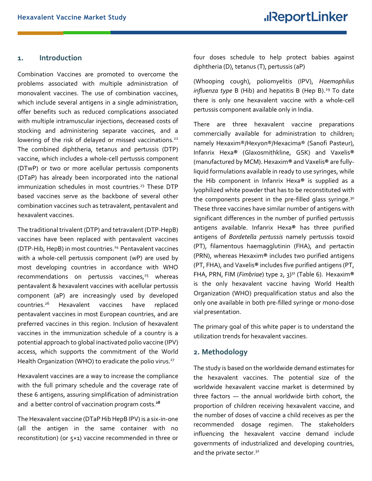#### <span id="page-6-0"></span>**1. Introduction**

Combination Vaccines are promoted to overcome the problems associated with multiple administration of monovalent vaccines. The use of combination vaccines, which include several antigens in a single administration, offer benefits such as reduced complications associated with multiple intramuscular injections, decreased costs of stocking and administering separate vaccines, and a lowering of the risk of delayed or missed vaccinations.<sup>22</sup> The combined diphtheria, tetanus and pertussis (DTP) vaccine, which includes a whole-cell pertussis component (DTwP) or two or more acellular pertussis components (DTaP) has already been incorporated into the national immunization schedules in most countries.<sup>23</sup> These DTP based vaccines serve as the backbone of several other combination vaccines such as tetravalent, pentavalent and hexavalent vaccines.

The traditional trivalent (DTP) and tetravalent (DTP-HepB) vaccines have been replaced with pentavalent vaccines (DTP-Hib, HepB) in most countries.<sup>24</sup> Pentavalent vaccines with a whole-cell pertussis component (wP) are used by most developing countries in accordance with WHO recommendations on pertussis vaccines, $25$  whereas pentavalent & hexavalent vaccines with acellular pertussis component (aP) are increasingly used by developed countries.<sup>26</sup> Hexavalent vaccines have replaced pentavalent vaccines in most European countries, and are preferred vaccines in this region. Inclusion of hexavalent vaccines in the immunization schedule of a country is a potential approach to global inactivated polio vaccine (IPV) access, which supports the commitment of the World Health Organization (WHO) to eradicate the polio virus.<sup>27</sup>

Hexavalent vaccines are a way to increase the compliance with the full primary schedule and the coverage rate of these 6 antigens, assuring simplification of administration and a better control of vaccination program costs.**<sup>28</sup>**

The Hexavalent vaccine (DTaP Hib HepB IPV) is a six-in-one (all the antigen in the same container with no reconstitution) (or 5+1) vaccine recommended in three or four doses schedule to help protect babies against diphtheria (D), tetanus (T), pertussis (aP)

(Whooping cough), poliomyelitis (IPV), *Haemophilus influenza type B (Hib)* and hepatitis B (Hep B).<sup>29</sup> To date there is only one hexavalent vaccine with a whole-cell pertussis component available only in India.

There are three hexavalent vaccine preparations commercially available for administration to children; namely Hexaxim®/Hexyon®/Hexacima® (Sanofi Pasteur), Infanrix Hexa**®** (Glaxosmithkline, GSK) and Vaxelis**®** (manufactured by MCM). Hexaxim**®** and Vaxelis**®** are fullyliquid formulations available in ready to use syringes, while the Hib component in Infanrix Hexa**®** is supplied as a lyophilized white powder that has to be reconstituted with the components present in the pre-filled glass syringe.<sup>30</sup> These three vaccines have similar number of antigens with significant differences in the number of purified pertussis antigens available. Infanrix Hexa**®** has three purified antigens of *Bordetella pertussis* namely pertussis toxoid (PT), filamentous haemagglutinin (FHA), and pertactin (PRN), whereas Hexaxim**®** includes two purified antigens (PT, FHA), and Vaxelis**®** includes five purified antigens (PT, FHA, PRN, FIM (*Fimbriae*) type 2, 3)<sup>31</sup> (Table 6). Hexaxim**®** is the only hexavalent vaccine having World Health Organization (WHO) prequalification status and also the only one available in both pre-filled syringe or mono-dose vial presentation.

The primary goal of this white paper is to understand the utilization trends for hexavalent vaccines.

#### <span id="page-6-1"></span>**2. Methodology**

The study is based on the worldwide demand estimates for the hexavalent vaccines. The potential size of the worldwide hexavalent vaccine market is determined by three factors — the annual worldwide birth cohort, the proportion of children receiving hexavalent vaccine, and the number of doses of vaccine a child receives as per the recommended dosage regimen. The stakeholders influencing the hexavalent vaccine demand include governments of industrialized and developing countries, and the private sector.<sup>32</sup>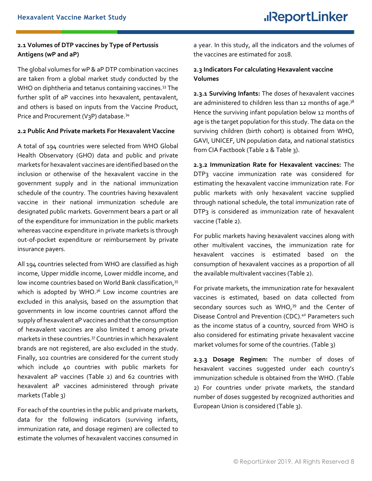## <span id="page-7-0"></span>**2.1 Volumes of DTP vaccines by Type of Pertussis Antigens (wP and aP)**

The global volumes for wP & aP DTP combination vaccines are taken from a global market study conducted by the WHO on diphtheria and tetanus containing vaccines.<sup>33</sup> The further split of aP vaccines into hexavalent, pentavalent, and others is based on inputs from the Vaccine Product, Price and Procurement (V3P) database.<sup>34</sup>

#### <span id="page-7-1"></span>**2.2 Public And Private markets For Hexavalent Vaccine**

A total of 194 countries were selected from WHO Global Health Observatory (GHO) data and public and private markets for hexavalent vaccines are identified based on the inclusion or otherwise of the hexavalent vaccine in the government supply and in the national immunization schedule of the country. The countries having hexavalent vaccine in their national immunization schedule are designated public markets. Government bears a part or all of the expenditure for immunization in the public markets whereas vaccine expenditure in private markets is through out-of-pocket expenditure or reimbursement by private insurance payers.

All 194 countries selected from WHO are classified as high income, Upper middle income, Lower middle income, and low income countries based on World Bank classification,<sup>35</sup> which is adopted by WHO.<sup>36</sup> Low income countries are excluded in this analysis, based on the assumption that governments in low income countries cannot afford the supply of hexavalent aP vaccines and that the consumption of hexavalent vaccines are also limited t among private markets in these countries.<sup>37</sup> Countries in which hexavalent brands are not registered, are also excluded in the study. Finally, 102 countries are considered for the current study which include 40 countries with public markets for hexavalent aP vaccines (Table 2) and 62 countries with hexavalent aP vaccines administered through private markets (Table 3)

For each of the countries in the public and private markets, data for the following indicators (surviving infants, immunization rate, and dosage regimen) are collected to estimate the volumes of hexavalent vaccines consumed in a year. In this study, all the indicators and the volumes of the vaccines are estimated for 2018.

### <span id="page-7-2"></span>**2.3 Indicators For calculating Hexavalent vaccine Volumes**

**2.3.1 Surviving Infants:** The doses of hexavalent vaccines are administered to children less than 12 months of age. $3^8$ Hence the surviving infant population below 12 months of age is the target population for this study. The data on the surviving children (birth cohort) is obtained from WHO, GAVI, UNICEF, UN population data, and national statistics from CIA Factbook (Table 2 & Table 3).

**2.3.2 Immunization Rate for Hexavalent vaccines:** The DTP3 vaccine immunization rate was considered for estimating the hexavalent vaccine immunization rate. For public markets with only hexavalent vaccine supplied through national schedule, the total immunization rate of DTP3 is considered as immunization rate of hexavalent vaccine (Table 2).

For public markets having hexavalent vaccines along with other multivalent vaccines, the immunization rate for hexavalent vaccines is estimated based on the consumption of hexavalent vaccines as a proportion of all the available multivalent vaccines (Table 2).

For private markets, the immunization rate for hexavalent vaccines is estimated, based on data collected from secondary sources such as WHO,<sup>39</sup> and the Center of Disease Control and Prevention (CDC).<sup>40</sup> Parameters such as the income status of a country, sourced from WHO is also considered for estimating private hexavalent vaccine market volumes for some of the countries. (Table 3)

**2.3.3 Dosage Regimen:** The number of doses of hexavalent vaccines suggested under each country's immunization schedule is obtained from the WHO. (Table 2) For countries under private markets, the standard number of doses suggested by recognized authorities and European Union is considered (Table 3).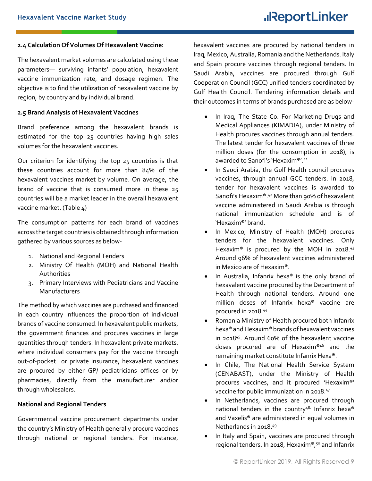#### <span id="page-8-0"></span>**2.4 Calculation Of Volumes Of Hexavalent Vaccine:**

The hexavalent market volumes are calculated using these parameters— surviving infants' population, hexavalent vaccine immunization rate, and dosage regimen. The objective is to find the utilization of hexavalent vaccine by region, by country and by individual brand.

#### <span id="page-8-1"></span>**2.5 Brand Analysis of Hexavalent Vaccines**

Brand preference among the hexavalent brands is estimated for the top 25 countries having high sales volumes for the hexavalent vaccines.

Our criterion for identifying the top 25 countries is that these countries account for more than 84% of the hexavalent vaccines market by volume. On average, the brand of vaccine that is consumed more in these 25 countries will be a market leader in the overall hexavalent vaccine market. (Table 4)

The consumption patterns for each brand of vaccines across the target countries is obtained through information gathered by various sources as below-

- 1. National and Regional Tenders
- 2. Ministry Of Health (MOH) and National Health Authorities
- 3. Primary Interviews with Pediatricians and Vaccine Manufacturers

The method by which vaccines are purchased and financed in each country influences the proportion of individual brands of vaccine consumed. In hexavalent public markets, the government finances and procures vaccines in large quantities through tenders. In hexavalent private markets, where individual consumers pay for the vaccine through out-of-pocket or private insurance, hexavalent vaccines are procured by either GP/ pediatricians offices or by pharmacies, directly from the manufacturer and/or through wholesalers.

#### **National and Regional Tenders**

Governmental vaccine procurement departments under the country's Ministry of Health generally procure vaccines through national or regional tenders. For instance,

hexavalent vaccines are procured by national tenders in Iraq, Mexico, Australia, Romania and the Netherlands. Italy and Spain procure vaccines through regional tenders. In Saudi Arabia, vaccines are procured through Gulf Cooperation Council (GCC) unified tenders coordinated by Gulf Health Council. Tendering information details and their outcomes in terms of brands purchased are as below-

- In Iraq, The State Co. For Marketing Drugs and Medical Appliances (KIMADIA), under Ministry of Health procures vaccines through annual tenders. The latest tender for hexavalent vaccines of three million doses (for the consumption in 2018), is awarded to Sanofi's 'Hexaxim**®**'.<sup>41</sup>
- In Saudi Arabia, the Gulf Health council procures vaccines, through annual GCC tenders. In 2018, tender for hexavalent vaccines is awarded to Sanofi's Hexaxim**®**. <sup>42</sup> More than 90% of hexavalent vaccine administered in Saudi Arabia is through national immunization schedule and is of 'Hexaxim**®**' brand.
- In Mexico, Ministry of Health (MOH) procures tenders for the hexavalent vaccines. Only Hexaxim**®** is procured by the MOH in 2018.<sup>43</sup> Around 96% of hexavalent vaccines administered in Mexico are of Hexaxim**®**.
- In Australia, Infanrix hexa**®** is the only brand of hexavalent vaccine procured by the Department of Health through national tenders. Around one million doses of Infanrix hexa**®** vaccine are procured in 2018.<sup>44</sup>
- Romania Ministry of Health procured both Infanrix hexa**®** and Hexaxim**®** brands of hexavalent vaccines in 2018<sup>45</sup> . Around 60% of the hexavalent vaccine doses procured are of Hexaxim**®** <sup>46</sup> and the remaining market constitute Infanrix Hexa**®**.
- In Chile, The National Health Service System (CENABAST), under the Ministry of Health procures vaccines, and it procured 'Hexaxim**®**' vaccine for public immunization in 2018.<sup>47</sup>
- In Netherlands, vaccines are procured through national tenders in the country<sup>48</sup>. Infanrix hexa**®** and Vaxelis**®** are administered in equal volumes in Netherlands in 2018.<sup>49</sup>
- In Italy and Spain, vaccines are procured through regional tenders. In 2018, Hexaxim**®**, <sup>50</sup> and Infanrix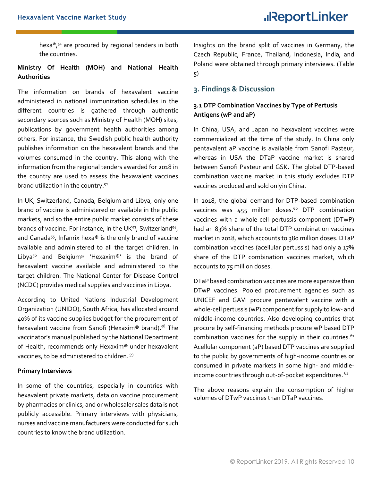hexa**®**, <sup>51</sup> are procured by regional tenders in both the countries.

### **Ministry Of Health (MOH) and National Health Authorities**

The information on brands of hexavalent vaccine administered in national immunization schedules in the different countries is gathered through authentic secondary sources such as Ministry of Health (MOH) sites, publications by government health authorities among others. For instance, the Swedish public health authority publishes information on the hexavalent brands and the volumes consumed in the country. This along with the information from the regional tenders awarded for 2018 in the country are used to assess the hexavalent vaccines brand utilization in the country.<sup>52</sup>

In UK, Switzerland, Canada, Belgium and Libya, only one brand of vaccine is administered or available in the public markets, and so the entire public market consists of these brands of vaccine. For instance, in the UK<sup>53</sup>, Switzerland<sup>54</sup>, and Canada<sup>55</sup> , Infanrix hexa**®** is the only brand of vaccine available and administered to all the target children. In Libya<sup>56</sup> and Belgium<sup>57</sup> 'Hexaxim**®**' is the brand of hexavalent vaccine available and administered to the target children. The National Center for Disease Control (NCDC) provides medical supplies and vaccines in Libya.

According to United Nations Industrial Development Organization (UNIDO), South Africa, has allocated around 40% of its vaccine supplies budget for the procurement of hexavalent vaccine from Sanofi (Hexaxim**®** brand). <sup>58</sup> The vaccinator's manual published by the National Department of Health, recommends only Hexaxim**®** under hexavalent vaccines, to be administered to children. <sup>59</sup>

#### **Primary Interviews**

In some of the countries, especially in countries with hexavalent private markets, data on vaccine procurement by pharmacies or clinics, and or wholesaler sales data is not publicly accessible. Primary interviews with physicians, nurses and vaccine manufacturers were conducted for such countries to know the brand utilization.

Insights on the brand split of vaccines in Germany, the Czech Republic, France, Thailand, Indonesia, India, and Poland were obtained through primary interviews. (Table 5)

## <span id="page-9-0"></span>**3. Findings & Discussion**

## <span id="page-9-1"></span>**3.1 DTP Combination Vaccines by Type of Pertusis Antigens (wP and aP)**

In China, USA, and Japan no hexavalent vaccines were commercialized at the time of the study. In China only pentavalent aP vaccine is available from Sanofi Pasteur, whereas in USA the DTaP vaccine market is shared between Sanofi Pasteur and GSK. The global DTP-based combination vaccine market in this study excludes DTP vaccines produced and sold onlyin China.

In 2018, the global demand for DTP-based combination vaccines was  $455$  million doses.<sup>60</sup> DTP combination vaccines with a whole-cell pertussis component (DTwP) had an 83% share of the total DTP combination vaccines market in 2018, which accounts to 380 million doses. DTaP combination vaccines (acellular pertussis) had only a 17% share of the DTP combination vaccines market, which accounts to 75 million doses.

DTaP based combination vaccines are more expensive than DTwP vaccines. Pooled procurement agencies such as UNICEF and GAVI procure pentavalent vaccine with a whole-cell pertussis (wP) component for supply to low- and middle-income countries. Also developing countries that procure by self-financing methods procure wP based DTP combination vaccines for the supply in their countries.<sup>61</sup> Acellular component (aP) based DTP vaccines are supplied to the public by governments of high-income countries or consumed in private markets in some high- and middleincome countries through out-of-pocket expenditures. <sup>62</sup>

The above reasons explain the consumption of higher volumes of DTwP vaccines than DTaP vaccines.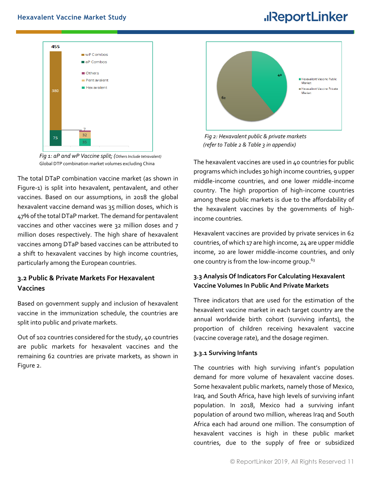

*Fig 1: aP and wP Vaccine split; (Others Include tetravalent)* Global DTP combination market volumes excluding China

The total DTaP combination vaccine market (as shown in Figure-1) is split into hexavalent, pentavalent, and other vaccines. Based on our assumptions, in 2018 the global hexavalent vaccine demand was 35 million doses, which is 47% of the total DTaP market. The demand for pentavalent vaccines and other vaccines were 32 million doses and 7 million doses respectively. The high share of hexavalent vaccines among DTaP based vaccines can be attributed to a shift to hexavalent vaccines by high income countries, particularly among the European countries.

## <span id="page-10-0"></span>**3.2 Public & Private Markets For Hexavalent Vaccines**

Based on government supply and inclusion of hexavalent vaccine in the immunization schedule, the countries are split into public and private markets.

Out of 102 countries considered for the study, 40 countries are public markets for hexavalent vaccines and the remaining 62 countries are private markets, as shown in Figure 2.



 *Fig 2: Hexavalent public & private markets (refer to Table 2 & Table 3 in appendix)*

The hexavalent vaccines are used in 40 countries for public programs which includes 30 high income countries, 9 upper middle-income countries, and one lower middle-income country. The high proportion of high-income countries among these public markets is due to the affordability of the hexavalent vaccines by the governments of highincome countries.

Hexavalent vaccines are provided by private services in 62 countries, of which 17 are high income, 24 are upper middle income, 20 are lower middle-income countries, and only one country is from the low-income group.<sup>63</sup>

## <span id="page-10-1"></span>**3.3 Analysis Of Indicators For Calculating Hexavalent Vaccine Volumes In Public And Private Markets**

Three indicators that are used for the estimation of the hexavalent vaccine market in each target country are the annual worldwide birth cohort (surviving infants), the proportion of children receiving hexavalent vaccine (vaccine coverage rate), and the dosage regimen.

#### **3.3.1 Surviving Infants**

The countries with high surviving infant's population demand for more volume of hexavalent vaccine doses. Some hexavalent public markets, namely those of Mexico, Iraq, and South Africa, have high levels of surviving infant population. In 2018, Mexico had a surviving infant population of around two million, whereas Iraq and South Africa each had around one million. The consumption of hexavalent vaccines is high in these public market countries, due to the supply of free or subsidized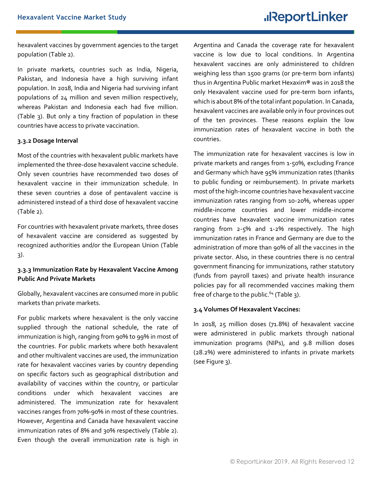hexavalent vaccines by government agencies to the target population (Table 2).

In private markets, countries such as India, Nigeria, Pakistan, and Indonesia have a high surviving infant population. In 2018, India and Nigeria had surviving infant populations of 24 million and seven million respectively, whereas Pakistan and Indonesia each had five million. (Table 3). But only a tiny fraction of population in these countries have access to private vaccination.

#### **3.3.2 Dosage Interval**

Most of the countries with hexavalent public markets have implemented the three-dose hexavalent vaccine schedule. Only seven countries have recommended two doses of hexavalent vaccine in their immunization schedule. In these seven countries a dose of pentavalent vaccine is administered instead of a third dose of hexavalent vaccine (Table 2).

For countries with hexavalent private markets, three doses of hexavalent vaccine are considered as suggested by recognized authorities and/or the European Union (Table 3).

### **3.3.3 Immunization Rate by Hexavalent Vaccine Among Public And Private Markets**

Globally, hexavalent vaccines are consumed more in public markets than private markets.

For public markets where hexavalent is the only vaccine supplied through the national schedule, the rate of immunization is high, ranging from 90% to 99% in most of the countries. For public markets where both hexavalent and other multivalent vaccines are used, the immunization rate for hexavalent vaccines varies by country depending on specific factors such as geographical distribution and availability of vaccines within the country, or particular conditions under which hexavalent vaccines are administered. The immunization rate for hexavalent vaccines ranges from 70%-90% in most of these countries. However, Argentina and Canada have hexavalent vaccine immunization rates of 8% and 30% respectively (Table 2). Even though the overall immunization rate is high in

Argentina and Canada the coverage rate for hexavalent vaccine is low due to local conditions. In Argentina hexavalent vaccines are only administered to children weighing less than 1500 grams (or pre-term born infants) thus in Argentina Public market Hexaxim**®** was in 2018 the only Hexavalent vaccine used for pre-term born infants, which is about 8% of the total infant population. In Canada, hexavalent vaccines are available only in four provinces out of the ten provinces. These reasons explain the low immunization rates of hexavalent vaccine in both the countries.

The immunization rate for hexavalent vaccines is low in private markets and ranges from 1-50%, excluding France and Germany which have 95% immunization rates (thanks to public funding or reimbursement). In private markets most of the high-income countries have hexavalent vaccine immunization rates ranging from 10-20%, whereas upper middle-income countries and lower middle-income countries have hexavalent vaccine immunization rates ranging from 2-5% and 1-2% respectively. The high immunization rates in France and Germany are due to the administration of more than 90% of all the vaccines in the private sector. Also, in these countries there is no central government financing for immunizations, rather statutory (funds from payroll taxes) and private health insurance policies pay for all recommended vaccines making them free of charge to the public.<sup>64</sup> (Table 3).

#### <span id="page-11-0"></span>**3.4 Volumes Of Hexavalent Vaccines:**

In 2018, 25 million doses (71.8%) of hexavalent vaccine were administered in public markets through national immunization programs (NIPs), and 9.8 million doses (28.2%) were administered to infants in private markets (see Figure 3).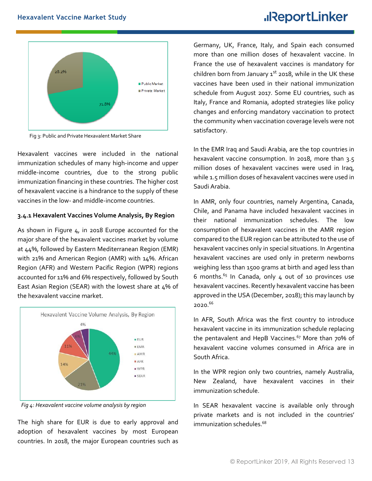

Fig 3: Public and Private Hexavalent Market Share

Hexavalent vaccines were included in the national immunization schedules of many high-income and upper middle-income countries, due to the strong public immunization financing in these countries. The higher cost of hexavalent vaccine is a hindrance to the supply of these vaccines in the low- and middle-income countries.

### **3.4.1 Hexavalent Vaccines Volume Analysis, By Region**

As shown in Figure 4, in 2018 Europe accounted for the major share of the hexavalent vaccines market by volume at 44%, followed by Eastern Mediterranean Region (EMR) with 21% and American Region (AMR) with 14%. African Region (AFR) and Western Pacific Region (WPR) regions accounted for 11% and 6% respectively, followed by South East Asian Region (SEAR) with the lowest share at 4% of the hexavalent vaccine market.



 *Fig 4: Hexavalent vaccine volume analysis by region*

The high share for EUR is due to early approval and adoption of hexavalent vaccines by most European countries. In 2018, the major European countries such as Germany, UK, France, Italy, and Spain each consumed more than one million doses of hexavalent vaccine. In France the use of hexavalent vaccines is mandatory for children born from January  $1<sup>st</sup>$  2018, while in the UK these vaccines have been used in their national immunization schedule from August 2017. Some EU countries, such as Italy, France and Romania, adopted strategies like policy changes and enforcing mandatory vaccination to protect the community when vaccination coverage levels were not satisfactory.

In the EMR Iraq and Saudi Arabia, are the top countries in hexavalent vaccine consumption. In 2018, more than 3.5 million doses of hexavalent vaccines were used in Iraq, while 1.5 million doses of hexavalent vaccines were used in Saudi Arabia.

In AMR, only four countries, namely Argentina, Canada, Chile, and Panama have included hexavalent vaccines in their national immunization schedules. The low consumption of hexavalent vaccines in the AMR region compared to the EUR region can be attributed to the use of hexavalent vaccines only in special situations. In Argentina hexavalent vaccines are used only in preterm newborns weighing less than 1500 grams at birth and aged less than 6 months. $65$  In Canada, only 4 out of 10 provinces use hexavalent vaccines. Recently hexavalent vaccine has been approved in the USA (December, 2018); this may launch by 2020.<sup>66</sup>

In AFR, South Africa was the first country to introduce hexavalent vaccine in its immunization schedule replacing the pentavalent and HepB Vaccines. $67$  More than 70% of hexavalent vaccine volumes consumed in Africa are in South Africa.

In the WPR region only two countries, namely Australia, New Zealand, have hexavalent vaccines in their immunization schedule.

In SEAR hexavalent vaccine is available only through private markets and is not included in the countries' immunization schedules. 68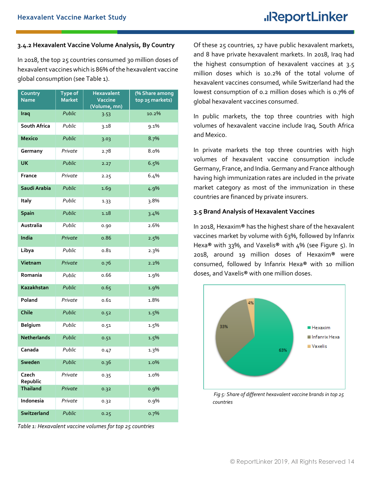#### **3.4.2 Hexavalent Vaccine Volume Analysis, By Country**

In 2018, the top 25 countries consumed 30 million doses of hexavalent vaccines which is 86% of the hexavalent vaccine global consumption (see Table 1).

| Country<br><b>Name</b> | Type of<br><b>Market</b> | <b>Hexavalent</b><br>Vaccine<br>(Volume, mn) | (% Share among<br>top 25 markets) |
|------------------------|--------------------------|----------------------------------------------|-----------------------------------|
| Iraq                   | Public                   | 3.53                                         | 10.2%                             |
| South Africa           | Public                   | 3.18                                         | 9.1%                              |
| <b>Mexico</b>          | Public                   | 3.03                                         | 8.7%                              |
| Germany                | Private                  | 2.78                                         | 8.0%                              |
| <b>UK</b>              | Public                   | 2.27                                         | 6.5%                              |
| France                 | Private                  | 2.25                                         | 6.4%                              |
| Saudi Arabia           | Public                   | 1.69                                         | 4.9%                              |
| Italy                  | Public                   | 1.33                                         | 3.8%                              |
| <b>Spain</b>           | Public                   | 1.18                                         | 3.4%                              |
| Australia              | Public                   | 0.90                                         | 2.6%                              |
| India                  | Private                  | 0.86                                         | 2.5%                              |
| Libya                  | Public                   | 0.81                                         | 2.3%                              |
| Vietnam                | Private                  | 0.76                                         | 2.2%                              |
| Romania                | Public                   | 0.66                                         | 1.9%                              |
| Kazakhstan             | Public                   | 0.65                                         | 1.9%                              |
| Poland                 | Private                  | 0.61                                         | 1.8%                              |
| Chile                  | Public                   | 0.52                                         | 1.5%                              |
| Belgium                | Public                   | 0.51                                         | 1.5%                              |
| <b>Netherlands</b>     | Public                   | 0.51                                         | 1.5%                              |
| Canada                 | Public                   | 0.47                                         | 1.3%                              |
| Sweden                 | Public                   | 0.36                                         | 1.0%                              |
| Czech<br>Republic      | Private                  | 0.35                                         | 1.0%                              |
| <b>Thailand</b>        | Private                  | 0.32                                         | 0.9%                              |
| Indonesia              | Private                  | 0.32                                         | 0.9%                              |
| Switzerland            | Public                   | 0.25                                         | 0.7%                              |

*Table 1: Hexavalent vaccine volumes for top 25 countries*

Of these 25 countries, 17 have public hexavalent markets, and 8 have private hexavalent markets. In 2018, Iraq had the highest consumption of hexavalent vaccines at 3.5 million doses which is 10.2% of the total volume of hexavalent vaccines consumed, while Switzerland had the lowest consumption of 0.2 million doses which is 0.7% of global hexavalent vaccines consumed.

In public markets, the top three countries with high volumes of hexavalent vaccine include Iraq, South Africa and Mexico.

In private markets the top three countries with high volumes of hexavalent vaccine consumption include Germany, France, and India.Germany and France although having high immunization rates are included in the private market category as most of the immunization in these countries are financed by private insurers.

#### <span id="page-13-0"></span>**3.5 Brand Analysis of Hexavalent Vaccines**

In 2018, Hexaxim**®** has the highest share of the hexavalent vaccines market by volume with 63%, followed by Infanrix Hexa**®** with 33%, and Vaxelis**®** with 4% (see Figure 5). In 2018, around 19 million doses of Hexaxim**®** were consumed, followed by Infanrix Hexa**®** with 10 million doses, and Vaxelis**®** with one million doses.



*Fig 5: Share of different hexavalent vaccine brands in top 25 countries*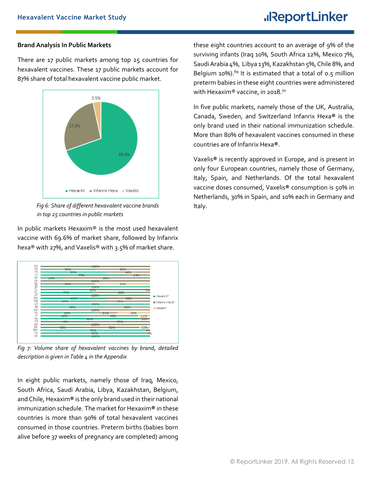#### **Brand Analysis In Public Markets**

There are 17 public markets among top 25 countries for hexavalent vaccines. These 17 public markets account for 87% share of total hexavalent vaccine public market.



*Fig 6: Share of different hexavalent vaccine brands in top 25 countries in public markets*

In public markets Hexaxim® is the most used hexavalent vaccine with 69.6% of market share, followed by Infanrix hexa® with 27%, and Vaxelis® with 3.5% of market share.



*Fig 7: Volume share of hexavalent vaccines by brand, detailed description is given in Table 4 in the Appendix*

In eight public markets, namely those of Iraq, Mexico, South Africa, Saudi Arabia, Libya, Kazakhstan, Belgium, and Chile, Hexaxim® is the only brand used in their national immunization schedule. The market for Hexaxim**®** in these countries is more than 90% of total hexavalent vaccines consumed in those countries. Preterm births (babies born alive before 37 weeks of pregnancy are completed) among

these eight countries account to an average of 9% of the surviving infants (Iraq 10%, South Africa 12%, Mexico 7%, Saudi Arabia 4%, Libya 13%, Kazakhstan 5%, Chile 8%, and Belgium 10%).<sup>69</sup> It is estimated that a total of  $0.5$  million preterm babies in these eight countries were administered with Hexaxim® vaccine, in 2018.<sup>70</sup>

In five public markets, namely those of the UK, Australia, Canada, Sweden, and Switzerland Infanrix Hexa**®** is the only brand used in their national immunization schedule. More than 80% of hexavalent vaccines consumed in these countries are of Infanrix Hexa**®**.

Vaxelis**®** is recently approved in Europe, and is present in only four European countries, namely those of Germany, Italy, Spain, and Netherlands. Of the total hexavalent vaccine doses consumed, Vaxelis**®** consumption is 50% in Netherlands, 30% in Spain, and 10% each in Germany and Italy.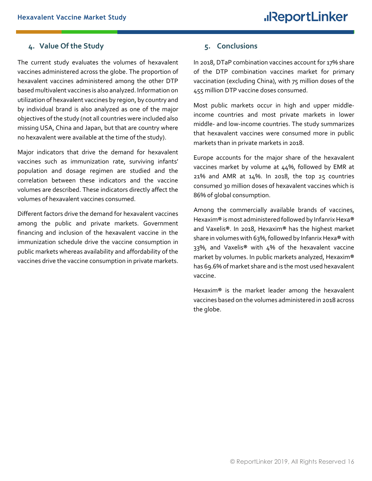## <span id="page-15-0"></span>**4. Value Of the Study**

The current study evaluates the volumes of hexavalent vaccines administered across the globe. The proportion of hexavalent vaccines administered among the other DTP based multivalent vaccines is also analyzed. Information on utilization of hexavalent vaccines by region, by country and by individual brand is also analyzed as one of the major objectives of the study (not all countries were included also missing USA, China and Japan, but that are country where no hexavalent were available at the time of the study).

Major indicators that drive the demand for hexavalent vaccines such as immunization rate, surviving infants' population and dosage regimen are studied and the correlation between these indicators and the vaccine volumes are described. These indicators directly affect the volumes of hexavalent vaccines consumed.

Different factors drive the demand for hexavalent vaccines among the public and private markets. Government financing and inclusion of the hexavalent vaccine in the immunization schedule drive the vaccine consumption in public markets whereas availability and affordability of the vaccines drive the vaccine consumption in private markets.

## <span id="page-15-1"></span>**5. Conclusions**

In 2018, DTaP combination vaccines account for 17% share of the DTP combination vaccines market for primary vaccination (excluding China), with 75 million doses of the 455 million DTP vaccine doses consumed.

Most public markets occur in high and upper middleincome countries and most private markets in lower middle- and low-income countries. The study summarizes that hexavalent vaccines were consumed more in public markets than in private markets in 2018.

Europe accounts for the major share of the hexavalent vaccines market by volume at 44%, followed by EMR at 21% and AMR at 14%. In 2018, the top 25 countries consumed 30 million doses of hexavalent vaccines which is 86% of global consumption.

Among the commercially available brands of vaccines, Hexaxim**®**is most administered followed by Infanrix Hexa**®** and Vaxelis**®**. In 2018, Hexaxim**®** has the highest market share in volumes with 63%, followed by Infanrix Hexa**®** with 33%, and Vaxelis**®** with 4% of the hexavalent vaccine market by volumes. In public markets analyzed, Hexaxim**®**  has 69.6% of market share and is the most used hexavalent vaccine.

Hexaxim**®** is the market leader among the hexavalent vaccines based on the volumes administered in 2018 across the globe.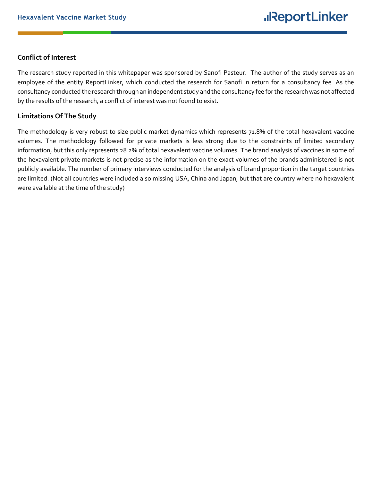## **Conflict of Interest**

The research study reported in this whitepaper was sponsored by Sanofi Pasteur. The author of the study serves as an employee of the entity ReportLinker, which conducted the research for Sanofi in return for a consultancy fee. As the consultancy conducted the research through an independent study and the consultancy fee for the research was not affected by the results of the research, a conflict of interest was not found to exist.

### **Limitations Of The Study**

The methodology is very robust to size public market dynamics which represents 71.8% of the total hexavalent vaccine volumes. The methodology followed for private markets is less strong due to the constraints of limited secondary information, but this only represents 28.2% of total hexavalent vaccine volumes. The brand analysis of vaccines in some of the hexavalent private markets is not precise as the information on the exact volumes of the brands administered is not publicly available. The number of primary interviews conducted for the analysis of brand proportion in the target countries are limited. (Not all countries were included also missing USA, China and Japan, but that are country where no hexavalent were available at the time of the study)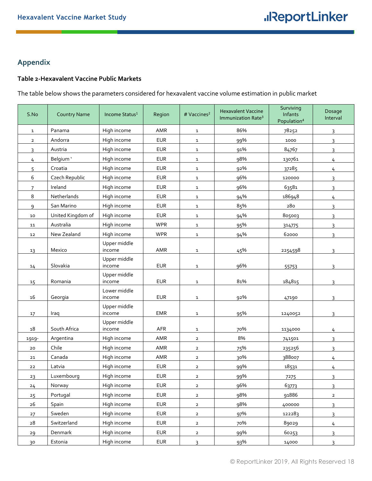## <span id="page-17-0"></span>**Appendix**

## <span id="page-17-1"></span>**Table 2-Hexavalent Vaccine Public Markets**

The table below shows the parameters considered for hexavalent vaccine volume estimation in public market

| S.No           | <b>Country Name</b> | Income Status <sup>1</sup> | Region     | # Vaccines <sup>2</sup> | <b>Hexavalent Vaccine</b><br>Immunization Rate <sup>3</sup> | Surviving<br>Infants<br>Population <sup>4</sup> | Dosage<br>Interval |
|----------------|---------------------|----------------------------|------------|-------------------------|-------------------------------------------------------------|-------------------------------------------------|--------------------|
| $\mathbf{1}$   | Panama              | High income                | AMR        | $\mathbf{1}$            | 86%                                                         | 78252                                           | 3                  |
| $\overline{2}$ | Andorra             | High income                | <b>EUR</b> | $\mathbf{1}$            | 99%                                                         | 1000                                            | 3                  |
| 3              | Austria             | High income                | <b>EUR</b> | $\mathbf{1}$            | 91%                                                         | 84767                                           | $\overline{3}$     |
| 4              | Belgium '           | High income                | <b>EUR</b> | $\mathbf{1}$            | 98%                                                         | 130761                                          | $\overline{4}$     |
| 5              | Croatia             | High income                | <b>EUR</b> | $\mathbf{1}$            | 92%                                                         | 37285                                           | $\frac{4}{1}$      |
| 6              | Czech Republic      | High income                | <b>EUR</b> | $\mathbf{1}$            | 96%                                                         | 120000                                          | 3                  |
| $\overline{7}$ | Ireland             | High income                | <b>EUR</b> | $\mathbf{1}$            | 96%                                                         | 63581                                           | $\overline{3}$     |
| 8              | Netherlands         | High income                | <b>EUR</b> | $\mathbf{1}$            | 94%                                                         | 186948                                          | 4                  |
| 9              | San Marino          | High income                | <b>EUR</b> | $\mathbf{1}$            | 85%                                                         | 280                                             | 3                  |
| 10             | United Kingdom of   | High income                | <b>EUR</b> | $\mathbf{1}$            | 94%                                                         | 805003                                          | $\overline{3}$     |
| 11             | Australia           | High income                | <b>WPR</b> | $\mathbf{1}$            | 95%                                                         | 314775                                          | $\overline{3}$     |
| 12             | New Zealand         | High income                | <b>WPR</b> | $\mathbf{1}$            | 94%                                                         | 62000                                           | 3                  |
| 13             | Mexico              | Upper middle<br>income     | AMR        | $\mathbf{1}$            | 45%                                                         | 2254598                                         | 3                  |
| 14             | Slovakia            | Upper middle<br>income     | <b>EUR</b> | $\mathbf{1}$            | 96%                                                         | 55753                                           | 3                  |
| 15             | Romania             | Upper middle<br>income     | <b>EUR</b> | $\mathbf{1}$            | 81%                                                         | 184815                                          | 3                  |
| 16             | Georgia             | Lower middle<br>income     | <b>EUR</b> | $\mathbf{1}$            | 92%                                                         | 47190                                           | 3                  |
| 17             | Iraq                | Upper middle<br>income     | <b>EMR</b> | $\mathbf{1}$            | 95%                                                         | 1240052                                         | 3                  |
| 18             | South Africa        | Upper middle<br>income     | AFR        | $\mathbf{1}$            | 70%                                                         | 1134000                                         | 4                  |
| 1919-          | Argentina           | High income                | AMR        | $\overline{2}$          | 8%                                                          | 741501                                          | $\overline{3}$     |
| 20             | Chile               | High income                | AMR        | $\overline{2}$          | 75%                                                         | 235256                                          | $\overline{3}$     |
| 21             | Canada              | High income                | AMR        | $\overline{2}$          | 30%                                                         | 388007                                          | $\overline{4}$     |
| 22             | Latvia              | High income                | <b>EUR</b> | $\mathbf{2}$            | 99%                                                         | 18531                                           | 4                  |
| 23             | Luxembourg          | High income                | <b>EUR</b> | 2                       | 99%                                                         | 7275                                            | $\overline{3}$     |
| 24             | Norway              | High income                | <b>EUR</b> | $\overline{2}$          | 96%                                                         | 63773                                           | $\mathsf{3}$       |
| 25             | Portugal            | High income                | <b>EUR</b> | $\mathbf{2}$            | 98%                                                         | 91886                                           | $\mathbf{2}$       |
| 26             | Spain               | High income                | <b>EUR</b> | $\mathbf{2}$            | 98%                                                         | 400000                                          | $\overline{3}$     |
| 27             | Sweden              | High income                | <b>EUR</b> | $\mathbf{2}$            | 97%                                                         | 122283                                          | 3                  |
| $\rm{28}$      | Switzerland         | High income                | <b>EUR</b> | $\mathbf{2}$            | 70%                                                         | 89029                                           | $\frac{4}{1}$      |
| 29             | Denmark             | High income                | <b>EUR</b> | $\mathbf{2}$            | 99%                                                         | 60253                                           | $\overline{3}$     |
| 30             | Estonia             | High income                | <b>EUR</b> | $\overline{3}$          | 93%                                                         | 14000                                           | $\overline{3}$     |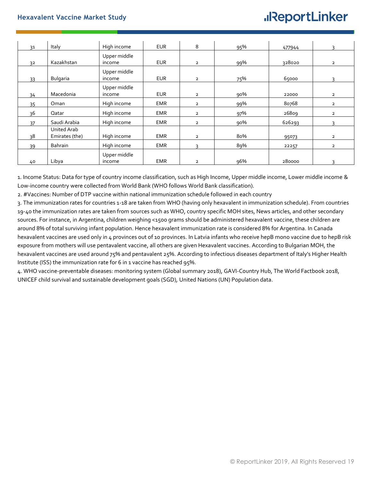| 31 | Italy                         | High income            | <b>EUR</b> | 8              | 95% | 477944 | 3              |
|----|-------------------------------|------------------------|------------|----------------|-----|--------|----------------|
| 32 | Kazakhstan                    | Upper middle<br>income | <b>EUR</b> | $\overline{2}$ | 99% | 328020 | $\overline{2}$ |
| 33 | Bulgaria                      | Upper middle<br>income | <b>EUR</b> | $\overline{2}$ | 75% | 65000  | 3              |
| 34 | Macedonia                     | Upper middle<br>income | <b>EUR</b> | $\overline{2}$ | 90% | 22000  | $\overline{2}$ |
| 35 | Oman                          | High income            | <b>EMR</b> | $\overline{2}$ | 99% | 80768  | $\overline{2}$ |
| 36 | Qatar                         | High income            | <b>EMR</b> | $\overline{2}$ | 97% | 26809  | $\mathbf{2}$   |
| 37 | Saudi Arabia                  | High income            | <b>EMR</b> | $\overline{2}$ | 90% | 626293 | ς              |
| 38 | United Arab<br>Emirates (the) | High income            | <b>EMR</b> | $\overline{2}$ | 80% | 95073  | $\overline{2}$ |
| 39 | Bahrain                       | High income            | <b>EMR</b> |                | 89% | 22257  | $\overline{2}$ |
| 40 | Libya                         | Upper middle<br>income | <b>EMR</b> | $\overline{2}$ | 96% | 280000 | 3              |

1. Income Status: Data for type of country income classification, such as High Income, Upper middle income, Lower middle income & Low-income country were collected from World Bank (WHO follows World Bank classification).

2. #Vaccines: Number of DTP vaccine within national immunization schedule followed in each country

3. The immunization rates for countries 1-18 are taken from WHO (having only hexavalent in immunization schedule). From countries 19-40 the immunization rates are taken from sources such as WHO, country specific MOH sites, News articles, and other secondary sources. For instance, in Argentina, children weighing <1500 grams should be administered hexavalent vaccine, these children are around 8% of total surviving infant population. Hence hexavalent immunization rate is considered 8% for Argentina. In Canada hexavalent vaccines are used only in 4 provinces out of 10 provinces. In Latvia infants who receive hepB mono vaccine due to hepB risk exposure from mothers will use pentavalent vaccine, all others are given Hexavalent vaccines. According to Bulgarian MOH, the hexavalent vaccines are used around 75% and pentavalent 25%. According to infectious diseases department of Italy's Higher Health Institute (ISS) the immunization rate for 6 in 1 vaccine has reached 95%.

4. WHO vaccine-preventable diseases: monitoring system (Global summary 2018), GAVI-Country Hub, The World Factbook 2018, UNICEF child survival and sustainable development goals (SGD), United Nations (UN) Population data.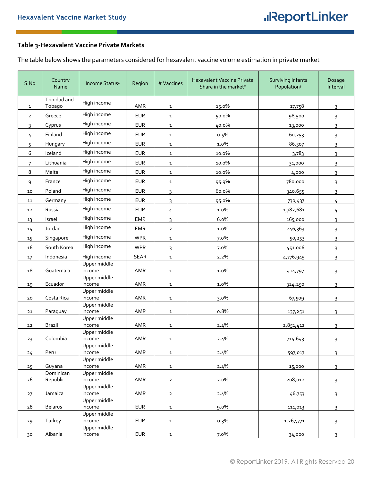## <span id="page-19-0"></span>**Table 3-Hexavalent Vaccine Private Markets**

The table below shows the parameters considered for hexavalent vaccine volume estimation in private market

| S.No           | Country<br>Name        | Income Status <sup>1</sup> | Region      | # Vaccines     | <b>Hexavalent Vaccine Private</b><br>Share in the market <sup>2</sup> | <b>Surviving Infants</b><br>Population <sup>3</sup> | Dosage<br>Interval |
|----------------|------------------------|----------------------------|-------------|----------------|-----------------------------------------------------------------------|-----------------------------------------------------|--------------------|
| $\mathbf{1}$   | Trinidad and<br>Tobago | High income                | AMR         | $\mathbf{1}$   | 15.0%                                                                 | 17,758                                              | 3                  |
| $\overline{2}$ | Greece                 | High income                | <b>EUR</b>  | $\mathbf{1}$   | 50.0%                                                                 | 98,500                                              | 3                  |
| 3              | Cyprus                 | High income                | <b>EUR</b>  | $\mathbf{1}$   | 40.0%                                                                 | 13,000                                              | 3                  |
|                | Finland                | High income                | <b>EUR</b>  |                |                                                                       |                                                     |                    |
| 4              |                        | High income                |             | $\mathbf{1}$   | 0.5%                                                                  | 60,253                                              | 3                  |
| 5              | Hungary                |                            | <b>EUR</b>  | $\mathbf{1}$   | 1.0%                                                                  | 86,507                                              | 3                  |
| 6              | Iceland                | High income                | <b>EUR</b>  | $\mathbf{1}$   | 10.0%                                                                 | 3,783                                               | 3                  |
| $\overline{7}$ | Lithuania              | High income                | <b>EUR</b>  | $\mathbf{1}$   | 10.0%                                                                 | 31,000                                              | 3                  |
| 8              | Malta                  | High income                | <b>EUR</b>  | $\mathbf{1}$   | 10.0%                                                                 | 4,000                                               | 3                  |
| 9              | France                 | High income                | <b>EUR</b>  | $\mathbf{1}$   | 95.9%                                                                 | 780,000                                             | 3                  |
| 10             | Poland                 | High income                | <b>EUR</b>  | 3              | 60.0%                                                                 | 340,655                                             | 3                  |
| 11             | Germany                | High income                | <b>EUR</b>  | 3              | 95.0%                                                                 |                                                     | 4                  |
|                |                        | High income                |             |                |                                                                       | 730,437                                             |                    |
| 12             | Russia                 | High income                | <b>EUR</b>  | 4              | 1.0%                                                                  | 1,782,681                                           | 4                  |
| 13             | Israel                 |                            | <b>EMR</b>  | $\overline{3}$ | 6.0%                                                                  | 165,000                                             | 3                  |
| 14             | Jordan                 | High income                | <b>EMR</b>  | $\overline{2}$ | 1.0%                                                                  | 246,363                                             | 3                  |
| 15             | Singapore              | High income                | <b>WPR</b>  | $\mathbf{1}$   | 7.0%                                                                  | 50,253                                              | 3                  |
| 16             | South Korea            | High income                | <b>WPR</b>  | 3              | 7.0%                                                                  | 451,006                                             | 3                  |
| 17             | Indonesia              | High income                | <b>SEAR</b> | $\mathbf{1}$   | 2.2%                                                                  | 4,776,945                                           | 3                  |
|                |                        | Upper middle               |             |                |                                                                       |                                                     |                    |
| 18             | Guatemala              | income                     | AMR         | $\mathbf{1}$   | 1.0%                                                                  | 414,797                                             | 3                  |
|                | Ecuador                | Upper middle<br>income     | AMR         | $\mathbf{1}$   | 1.0%                                                                  |                                                     | 3                  |
| 19             |                        | Upper middle               |             |                |                                                                       | 324,250                                             |                    |
| 20             | Costa Rica             | income                     | AMR         | $\mathbf{1}$   | 3.0%                                                                  | 67,509                                              | 3                  |
|                |                        | Upper middle               |             |                |                                                                       |                                                     |                    |
| 21             | Paraguay               | income                     | AMR         | 1              | 0.8%                                                                  | 137,251                                             |                    |
| 22             | Brazil                 | Upper middle<br>income     | AMR         | $\mathbf{1}$   | 2.4%                                                                  | 2,851,412                                           | 3                  |
|                |                        | Upper middle               |             |                |                                                                       |                                                     |                    |
| 23             | Colombia               | income                     | AMR         | 1              | 2.4%                                                                  | 714,643                                             | 3                  |
|                |                        | Upper middle               |             |                |                                                                       |                                                     |                    |
| 24             | Peru                   | income<br>Upper middle     | AMR         | $\mathbf{1}$   | 2.4%                                                                  | 597,017                                             | 3                  |
| 25             | Guyana                 | income                     | AMR         | $\mathbf{1}$   | 2.4%                                                                  | 15,000                                              | 3                  |
|                | Dominican              | Upper middle               |             |                |                                                                       |                                                     |                    |
| 26             | Republic               | income                     | AMR         | $\overline{2}$ | 2.0%                                                                  | 208,012                                             | $\mathbf{3}$       |
|                |                        | Upper middle<br>income     |             |                |                                                                       |                                                     |                    |
| 27             | Jamaica                | Upper middle               | AMR         | $\overline{2}$ | 2.4%                                                                  | 46,753                                              | 3                  |
| 28             | Belarus                | income                     | <b>EUR</b>  | $\mathbf{1}$   | 9.0%                                                                  | 111,013                                             | $\overline{3}$     |
|                |                        | Upper middle               |             |                |                                                                       |                                                     |                    |
| 29             | Turkey                 | income                     | <b>EUR</b>  | $\mathbf{1}$   | $0.3\%$                                                               | 1,267,771                                           | 3                  |
|                | Albania                | Upper middle               | <b>EUR</b>  |                |                                                                       |                                                     |                    |
| 30             |                        | income                     |             | $\mathbf{1}$   | 7.0%                                                                  | 34,000                                              | $\overline{3}$     |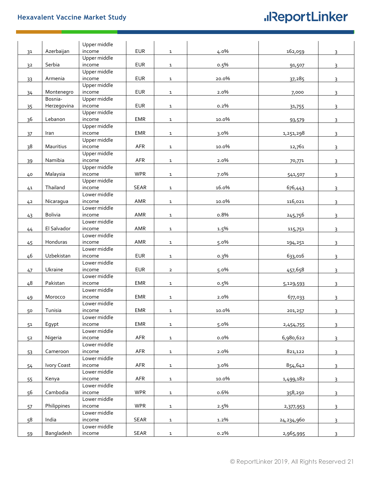## **Hexavalent Vaccine Market Study**

## **.**IReportLinker

|    |                | Upper middle |             |                |       |            |                |
|----|----------------|--------------|-------------|----------------|-------|------------|----------------|
| 31 | Azerbaijan     | income       | <b>EUR</b>  | $\mathbf{1}$   | 4.0%  | 162,059    | 3              |
|    |                | Upper middle |             |                |       |            |                |
| 32 | Serbia         | income       | <b>EUR</b>  | $\mathbf{1}$   | 0.5%  | 91,507     | 3              |
|    |                | Upper middle |             |                |       |            |                |
| 33 | Armenia        | income       | <b>EUR</b>  | $\mathbf{1}$   | 20.0% | 37,285     | 3              |
|    |                | Upper middle |             |                |       |            |                |
| 34 | Montenegro     | income       | <b>EUR</b>  | $\mathbf{1}$   | 2.0%  | 7,000      | 3              |
|    | Bosnia-        | Upper middle |             |                |       |            |                |
| 35 | Herzegovina    | income       | <b>EUR</b>  | $\mathbf{1}$   | 0.2%  | 31,755     | $\mathbf{R}$   |
|    |                | Upper middle |             |                |       |            |                |
| 36 | Lebanon        | income       | <b>EMR</b>  | $\mathbf{1}$   | 10.0% | 93,579     | 3              |
|    |                | Upper middle |             |                |       |            |                |
| 37 | Iran           | income       | <b>EMR</b>  | $\mathbf{1}$   | 3.0%  | 1,251,298  | 3              |
|    |                | Upper middle |             |                |       |            |                |
| 38 | Mauritius      | income       | AFR         | $\mathbf{1}$   | 10.0% | 12,761     | 3              |
|    |                | Upper middle |             |                |       |            |                |
| 39 | Namibia        | income       | AFR         | $\mathbf{1}$   | 2.0%  | 70,771     | 3              |
|    |                | Upper middle |             |                |       |            |                |
| 40 | Malaysia       | income       | <b>WPR</b>  | $\mathbf{1}$   | 7.0%  | 541,507    | 3              |
|    |                | Upper middle |             |                |       |            |                |
| 41 | Thailand       | income       | <b>SEAR</b> | $\mathbf{1}$   | 16.0% | 676,443    | 3              |
|    |                | Lower middle |             |                |       |            |                |
| 42 | Nicaragua      | income       | AMR         | $\mathbf{1}$   | 10.0% | 116,021    | 3              |
|    |                | Lower middle |             |                |       |            |                |
| 43 | <b>Bolivia</b> | income       | AMR         | $\mathbf{1}$   | 0.8%  | 245,756    | $\overline{3}$ |
|    |                | Lower middle |             |                |       |            |                |
| 44 | El Salvador    | income       | AMR         | $\mathbf{1}$   | 1.5%  | 115,751    | 3              |
|    |                | Lower middle |             |                |       |            |                |
| 45 | Honduras       | income       | AMR         | $\mathbf{1}$   | 5.0%  | 194,251    | 3              |
|    |                | Lower middle |             |                |       |            |                |
| 46 | Uzbekistan     | income       | <b>EUR</b>  | $\mathbf{1}$   | 0.3%  | 633,016    | 3              |
|    |                | Lower middle |             |                |       |            |                |
| 47 | Ukraine        | income       | <b>EUR</b>  | $\overline{2}$ | 5.0%  | 457,658    | 3              |
|    |                | Lower middle |             |                |       |            |                |
| 48 | Pakistan       | income       | EMR         | $\mathbf{1}$   | 0.5%  | 5,129,593  | 3              |
|    |                | Lower middle |             |                |       |            |                |
| 49 | Morocco        | income       | EMR         | $\mathbf{1}$   | 2.0%  | 677,033    | 3              |
|    |                | Lower middle |             |                |       |            |                |
| 50 | Tunisia        | income       | EMR         | $\mathbf{1}$   | 10.0% | 201,257    | 3              |
|    |                | Lower middle |             |                |       |            |                |
| 51 | Egypt          | income       | EMR         | $\mathbf 1$    | 5.0%  | 2,454,755  | 3              |
|    |                | Lower middle |             |                |       |            |                |
| 52 | Nigeria        | income       | AFR         | $\mathbf 1$    | 0.0%  | 6,980,622  | 3              |
|    |                | Lower middle |             |                |       |            |                |
| 53 | Cameroon       | income       | AFR         | $\mathbf{1}$   | 2.0%  | 821,122    | 3              |
|    |                | Lower middle |             |                |       |            |                |
| 54 | Ivory Coast    | income       | AFR         | $\mathbf{1}$   | 3.0%  | 854,642    | 3              |
|    |                | Lower middle |             |                |       |            |                |
| 55 | Kenya          | income       | AFR         | $\mathbf{1}$   | 10.0% | 1,499,182  | 3              |
|    |                | Lower middle |             |                |       |            |                |
| 56 | Cambodia       | income       | <b>WPR</b>  | $\mathbf{1}$   | 0.6%  | 358,250    | 3              |
|    |                | Lower middle |             |                |       |            |                |
| 57 | Philippines    | income       | <b>WPR</b>  | $\mathbf{1}$   | 2.5%  | 2,377,953  | 3              |
|    |                | Lower middle |             |                |       |            |                |
| 58 | India          | income       | SEAR        | $\mathbf{1}$   | 1.2%  | 24,234,960 | 3              |
|    |                | Lower middle |             |                |       |            |                |
| 59 | Bangladesh     | income       | SEAR        | $\mathbf{1}$   | 0.2%  | 2,965,995  | 3              |
|    |                |              |             |                |       |            |                |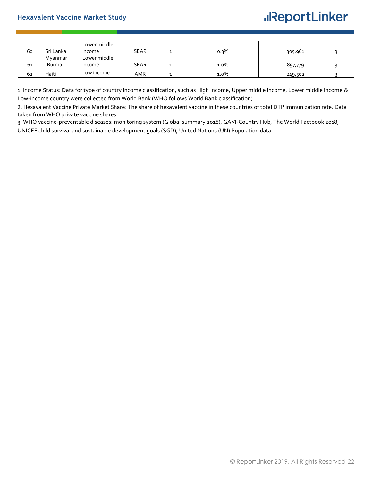### **Hexavalent Vaccine Market Study**

## **.**IReportLinker

| 60 | Sri Lanka | Lower middle<br>income | <b>SEAR</b> | $0.3\%$ | 305,961 |  |
|----|-----------|------------------------|-------------|---------|---------|--|
|    | Myanmar   | Lower middle           |             |         |         |  |
| 61 | (Burma)   | income                 | <b>SEAR</b> | 1.0%    | 897,779 |  |
| 62 | Haiti     | Low income             | AMR         | 1.0%    | 249,502 |  |

1. Income Status: Data for type of country income classification, such as High Income, Upper middle income, Lower middle income & Low-income country were collected from World Bank (WHO follows World Bank classification).

2. Hexavalent Vaccine Private Market Share: The share of hexavalent vaccine in these countries of total DTP immunization rate. Data taken from WHO private vaccine shares.

3. WHO vaccine-preventable diseases: monitoring system (Global summary 2018), GAVI-Country Hub, The World Factbook 2018, UNICEF child survival and sustainable development goals (SGD), United Nations (UN) Population data.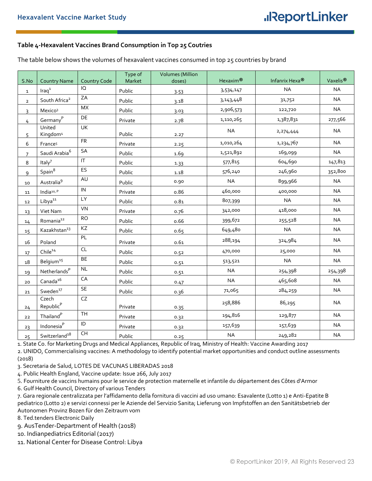### <span id="page-22-0"></span>**Table 4-Hexavalent Vaccines Brand Consumption in Top 25 Coutries**

The table below shows the volumes of hexavalent vaccines consumed in top 25 countries by brand

| S.No           | <b>Country Name</b>            | <b>Country Code</b> | Type of<br>Market | <b>Volumes</b> (Million<br>doses) | Hexaxim <sup>®</sup> | Infanrix Hexa <sup>®</sup> | Vaxelis <sup>®</sup> |
|----------------|--------------------------------|---------------------|-------------------|-----------------------------------|----------------------|----------------------------|----------------------|
| $\mathbf{1}$   | $\text{Iraq}^1$                | IQ                  | Public            | 3.53                              | 3,534,147            | <b>NA</b>                  | <b>NA</b>            |
| $\overline{2}$ | South Africa <sup>2</sup>      | ZA                  | Public            | 3.18                              | 3,143,448            | 31,752                     | <b>NA</b>            |
| 3              | Mexico <sup>3</sup>            | <b>MX</b>           | Public            | 3.03                              | 2,906,573            | 122,720                    | <b>NA</b>            |
| $\overline{4}$ | Germany <sup>P</sup>           | DE                  | Private           | 2.78                              | 1,110,265            | 1,387,831                  | 277,566              |
| 5              | United<br>Kingdom <sup>4</sup> | UK                  | Public            | 2.27                              | <b>NA</b>            | 2,274,444                  | <b>NA</b>            |
| 6              | France <sup>5</sup>            | ${\sf FR}$          | Private           | 2.25                              | 1,010,264            | 1,234,767                  | <b>NA</b>            |
| $\overline{7}$ | Saudi Arabia <sup>6</sup>      | SA                  | Public            | 1.69                              | 1,521,892            | 169,099                    | <b>NA</b>            |
| 8              | Italy $7$                      | <b>IT</b>           | Public            | 1.33                              | 577,815              | 604,690                    | 147,813              |
| $\overline{9}$ | Spin <sup>8</sup>              | ES                  | Public            | 1.18                              | 576,240              | 246,960                    | 352,800              |
| 10             | Australia <sup>9</sup>         | AU                  | Public            | 0.90                              | <b>NA</b>            | 899,966                    | <b>NA</b>            |
| 11             | India <sup>10, P</sup>         | IN                  | Private           | 0.86                              | 460,000              | 400,000                    | <b>NA</b>            |
| 12             | Libya <sup>11</sup>            | LY                  | Public            | 0.81                              | 807,399              | <b>NA</b>                  | <b>NA</b>            |
| 13             | Viet Nam                       | VN                  | Private           | 0.76                              | 342,000              | 418,000                    | <b>NA</b>            |
| 14             | Romania <sup>12</sup>          | <b>RO</b>           | Public            | 0.66                              | 399,672              | 255,528                    | <b>NA</b>            |
| 15             | Kazakhstan <sup>13</sup>       | KZ                  | Public            | 0.65                              | 649,480              | <b>NA</b>                  | <b>NA</b>            |
| 16             | Poland                         | PL                  | Private           | 0.61                              | 288,194              | 324,984                    | <b>NA</b>            |
| 17             | Chile <sup>14</sup>            | CL                  | Public            | 0.52                              | 470,000              | 25,000                     | <b>NA</b>            |
| $18\,$         | Belgium <sup>15</sup>          | BE                  | Public            | 0.51                              | 513,521              | <b>NA</b>                  | <b>NA</b>            |
| 19             | NetherlandsP                   | NL                  | Public            | 0.51                              | <b>NA</b>            | 254,398                    | 254,398              |
| 20             | Canada <sup>16</sup>           | CA                  | Public            | 0.47                              | <b>NA</b>            | 465,608                    | <b>NA</b>            |
| 21             | Sweden <sup>17</sup>           | SE                  | Public            | 0.36                              | 71,065               | 284,259                    | <b>NA</b>            |
| 24             | Czech<br>Republic <sup>P</sup> | ${\sf CZ}$          | Private           | 0.35                              | 258,886              | 86,295                     | <b>NA</b>            |
| 22             | $\mathsf{Thailand}^\mathsf{P}$ | <b>TH</b>           | Private           | 0.32                              | 194,816              | 129,877                    | <b>NA</b>            |
| 23             | Indonesia <sup>P</sup>         | $\mathsf{ID}$       | Private           | 0.32                              | 157,639              | 157,639                    | <b>NA</b>            |
| 25             | ${\small\sf Switcheral}^{18}$  | CH                  | Public            | 0.25                              | <b>NA</b>            | 249,282                    | <b>NA</b>            |

1. State Co. for Marketing Drugs and Medical Appliances, Republic of Iraq, Ministry of Health: Vaccine Awarding 2017

2. UNIDO, Commercialising vaccines: A methodology to identify potential market opportunities and conduct outline assessments (2018)

3. Secretaria de Salud, LOTES DE VACUNAS LIBERADAS 2018

4. Public Health England, Vaccine update: Issue 266, July 2017

5. Fourniture de vaccins humains pour le service de protection maternelle et infantile du département des Côtes d'Armor

6. Gulf Health Council, Directory of various Tenders

7. Gara regionale centralizzata per l'affidamento della fornitura di vaccini ad uso umano: Esavalente (Lotto 1) e Anti-Epatite B pediatrico (Lotto 2) e servizi connessi per le Aziende del Servizio Sanita; Lieferung von Impfstoffen an den Sanitätsbetrieb der Autonomen Provinz Bozen für den Zeitraum vom

8. Ted.tenders Electronic Daily

9. AusTender-Department of Health (2018)

10. Indianpediatrics Editorial (2017)

11. National Center for Disease Control: Libya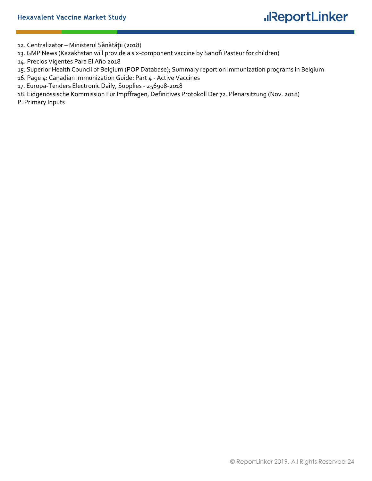12. Centralizator – Ministerul Sănătății (2018)

- 13. GMP News (Kazakhstan will provide a six-component vaccine by Sanofi Pasteur for children)
- 14. Precios Vigentes Para El Año 2018
- 15. Superior Health Council of Belgium (POP Database); Summary report on immunization programs in Belgium
- 16. Page 4: Canadian Immunization Guide: Part 4 Active Vaccines
- 17. Europa-Tenders Electronic Daily, Supplies 256908-2018
- 18. Eidgenössische Kommission Für Impffragen, Definitives Protokoll Der 72. Plenarsitzung (Nov. 2018)
- P. Primary Inputs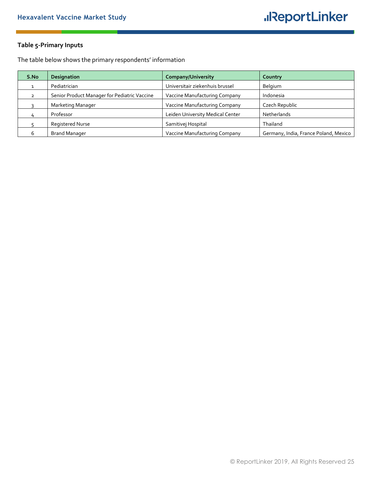## <span id="page-24-0"></span>**Table 5-Primary Inputs**

The table below shows the primary respondents' information

| S.No | <b>Designation</b>                           | <b>Company/University</b>        | Country                               |
|------|----------------------------------------------|----------------------------------|---------------------------------------|
|      | Pediatrician                                 | Universitair ziekenhuis brussel  | Belgium                               |
| っ    | Senior Product Manager for Pediatric Vaccine | Vaccine Manufacturing Company    | Indonesia                             |
|      | Marketing Manager                            | Vaccine Manufacturing Company    | Czech Republic                        |
|      | Professor                                    | Leiden University Medical Center | Netherlands                           |
|      | Registered Nurse                             | Samitivej Hospital               | Thailand                              |
|      | <b>Brand Manager</b>                         | Vaccine Manufacturing Company    | Germany, India, France Poland, Mexico |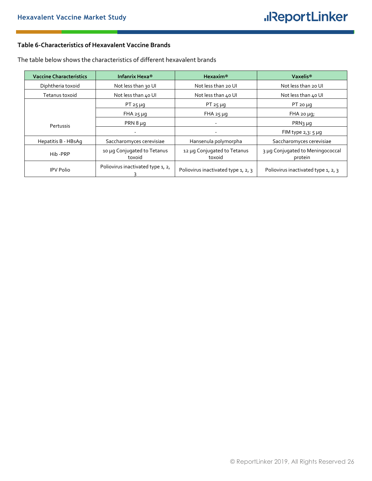#### <span id="page-25-0"></span>**Table 6-Characteristics of Hexavalent Vaccine Brands**

| <b>Vaccine Characteristics</b> | Infanrix Hexa <sup>®</sup>            | Hexaxim <sup>®</sup>                  | Vaxelis <sup>®</sup>                        |
|--------------------------------|---------------------------------------|---------------------------------------|---------------------------------------------|
| Diphtheria toxoid              | Not less than 30 UI                   | Not less than 20 UI                   | Not less than 20 UI                         |
| Tetanus toxoid                 | Not less than 40 UI                   | Not less than 40 UI                   | Not less than 40 UI                         |
|                                | $PT 25 \mu g$                         | PT $25 \mu g$                         | PT 20 $\mu$ g                               |
|                                | $FHA 25 \mu g$                        | $FHA 25 \mu g$                        | $FHA$ 20 $\mu$ g;                           |
| Pertussis                      | PRN $8 \mu q$                         |                                       | $PRN_3 \mu q$                               |
|                                | $\overline{\phantom{a}}$              |                                       | FIM type $2,3:5 \mu q$                      |
| Hepatitis B - HBsAg            | Saccharomyces cerevisiae              | Hansenula polymorpha                  | Saccharomyces cerevisiae                    |
| Hib-PRP                        | 10 µg Conjugated to Tetanus<br>toxoid | 12 µg Conjugated to Tetanus<br>toxoid | 3 µg Conjugated to Meningococcal<br>protein |
| <b>IPV Polio</b>               | Poliovirus inactivated type 1, 2,     | Poliovirus inactivated type 1, 2, 3   | Poliovirus inactivated type 1, 2, 3         |

The table below shows the characteristics of different hexavalent brands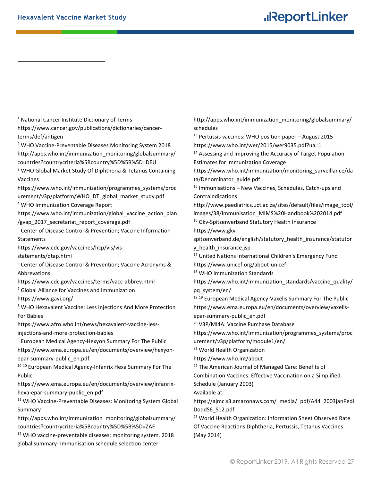$\overline{a}$ 

## **.**IReportLinker

<sup>1</sup> National Cancer Institute Dictionary of Terms https://www.cancer.gov/publications/dictionaries/cancerterms/def/antigen <sup>2</sup> WHO Vaccine-Preventable Diseases Monitoring System 2018 http://apps.who.int/immunization\_monitoring/globalsummary/ countries?countrycriteria%5Bcountry%5D%5B%5D=DEU <sup>3</sup> WHO Global Market Study Of Diphtheria & Tetanus Containing Vaccines https://www.who.int/immunization/programmes\_systems/proc urement/v3p/platform/WHO\_DT\_global\_market\_study.pdf <sup>4</sup> WHO Immunization Coverage Report https://www.who.int/immunization/global\_vaccine\_action\_plan /gvap 2017 secretariat report coverage.pdf <sup>5</sup> Center of Disease Control & Prevention; Vaccine Information **Statements** https://www.cdc.gov/vaccines/hcp/vis/visstatements/dtap.html <sup>6</sup> Center of Disease Control & Prevention; Vaccine Acronyms & Abbrevations https://www.cdc.gov/vaccines/terms/vacc-abbrev.html <sup>7</sup> Global Alliance for Vaccines and Immunization https://www.gavi.org/ <sup>8</sup> WHO Hexavalent Vaccine: Less Injections And More Protection For Babies https://www.afro.who.int/news/hexavalent-vaccine-lessinjections-and-more-protection-babies <sup>9</sup> European Medical Agency-Hexyon Summary For The Public https://www.ema.europa.eu/en/documents/overview/hexyonepar-summary-public\_en.pdf <sup>10 10</sup> European Medical Agency-Infanrix Hexa Summary For The Public https://www.ema.europa.eu/en/documents/overview/infanrixhexa-epar-summary-public\_en.pdf <sup>11</sup> WHO Vaccine-Preventable Diseases: Monitoring System Global Summary http://apps.who.int/immunization\_monitoring/globalsummary/ countries?countrycriteria%5Bcountry%5D%5B%5D=ZAF <sup>12</sup> WHO vaccine-preventable diseases: monitoring system. 2018 http://apps.who.int/immunization\_monitoring/globalsummary/ schedules (May 2014)

global summary- Immunisation schedule selection center

<sup>13</sup> Pertussis vaccines: WHO position paper – August 2015 https://www.who.int/wer/2015/wer9035.pdf?ua=1 <sup>14</sup> Assessing and Improving the Accuracy of Target Population Estimates for Immunization Coverage https://www.who.int/immunization/monitoring\_surveillance/da ta/Denominator\_guide.pdf <sup>15</sup> Immunisations – New Vaccines, Schedules, Catch-ups and Contraindications http://www.paediatrics.uct.ac.za/sites/default/files/image\_tool/ images/38/Immunisation\_MIMS%20Handbook%202014.pdf <sup>16</sup> Gkv-Spitzenverband Statutory Health Insurance https://www.gkvspitzenverband.de/english/statutory\_health\_insurance/statutor y\_health\_insurance.jsp <sup>17</sup> United Nations International Children's Emergency Fund https://www.unicef.org/about-unicef <sup>18</sup> WHO Immunization Standards https://www.who.int/immunization\_standards/vaccine\_quality/ pq\_system/en/ <sup>19 19</sup> European Medical Agency-Vaxelis Summary For The Public https://www.ema.europa.eu/en/documents/overview/vaxelisepar-summary-public\_en.pdf <sup>20</sup> V3P/MI4A: Vaccine Purchase Database https://www.who.int/immunization/programmes\_systems/proc urement/v3p/platform/module1/en/ <sup>21</sup> World Health Organization https://www.who.int/about <sup>22</sup> The American Journal of Managed Care: Benefits of Combination Vaccines: Effective Vaccination on a Simplified Schedule (January 2003) Available at: https://ajmc.s3.amazonaws.com/\_media/\_pdf/A44\_2003janPedi DoddS6\_S12.pdf <sup>23</sup> World Health Organization: Information Sheet Observed Rate Of Vaccine Reactions Diphtheria, Pertussis, Tetanus Vaccines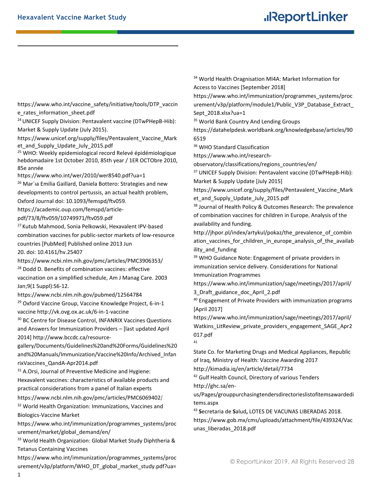**.** 

## **.**IReportLinker

https://www.who.int/vaccine\_safety/initiative/tools/DTP\_vaccin e rates information sheet.pdf

<sup>24</sup> UNICEF Supply Division: Pentavalent vaccine (DTwPHepB-Hib): Market & Supply Update (July 2015).

https://www.unicef.org/supply/files/Pentavalent\_Vaccine\_Mark et and Supply Update July 2015.pdf

<sup>25</sup> WHO: Weekly epidemiological record Relevé épidémiologique hebdomadaire 1st October 2010, 85th year / 1ER OCTObre 2010, 85e année

https://www.who.int/wer/2010/wer8540.pdf?ua=1

<sup>26</sup> Mar'ia Emilia Gaillard, Daniela Bottero: Strategies and new developments to control pertussis, an actual health problem,

Oxford Journal doi: 10.1093/femspd/ftv059.

https://academic.oup.com/femspd/article-

pdf/73/8/ftv059/10749971/ftv059.pdf

<sup>27</sup> [Kutub Mahmood,](https://www.ncbi.nlm.nih.gov/pubmed/?term=Mahmood%20K%5BAuthor%5D&cauthor=true&cauthor_uid=23787559) [Sonia Pelkowski,](https://www.ncbi.nlm.nih.gov/pubmed/?term=Pelkowski%20S%5BAuthor%5D&cauthor=true&cauthor_uid=23787559) Hexavalent IPV-based combination vaccines for public-sector markets of low-resource countries [PubMed] Published online 2013 Jun

20. doi: [10.4161/hv.25407](https://dx.doi.org/10.4161%2Fhv.25407)

https://www.ncbi.nlm.nih.gov/pmc/articles/PMC3906353/ <sup>28</sup> [Dodd D.](https://www.ncbi.nlm.nih.gov/pubmed/?term=Dodd%20D%5BAuthor%5D&cauthor=true&cauthor_uid=12564784) Benefits of combination vaccines: effective

vaccination on a simplified schedule, [Am J Manag Care.](https://www.ncbi.nlm.nih.gov/pubmed/12564784) 2003 Jan;9(1 Suppl):S6-12.

https://www.ncbi.nlm.nih.gov/pubmed/12564784

<sup>29</sup> Oxford Vaccine Group, Vaccine Knowledge Project, 6-in-1 vaccine http://vk.ovg.ox.ac.uk/6-in-1-vaccine

<sup>30</sup> [BC Centre for Disease Control,](http://www.bccdc.ca/) INFANRIX Vaccines Questions and Answers for Immunization Providers – [last updated April 2014] http://www.bccdc.ca/resource-

gallery/Documents/Guidelines%20and%20Forms/Guidelines%20 and%20Manuals/Immunization/Vaccine%20Info/Archived\_Infan rixVaccines\_QandA-Apr2014.pdf

<sup>31</sup> A[.Orsi,](https://www.ncbi.nlm.nih.gov/pubmed/?term=Orsi%20A%5BAuthor%5D&cauthor=true&cauthor_uid=30083617) Journal of Preventive Medicine and Hygiene: Hexavalent vaccines: characteristics of available products and practical considerations from a panel of Italian experts

https://www.ncbi.nlm.nih.gov/pmc/articles/PMC6069402/

<sup>32</sup> World Health Organization: Immunizations, Vaccines and Biologics-Vaccine Market

https://www.who.int/immunization/programmes\_systems/proc urement/market/global\_demand/en/

33 World Health Organization: Global Market Study Diphtheria & Tetanus Containing Vaccines

https://www.who.int/immunization/programmes\_systems/proc urement/v3p/platform/WHO\_DT\_global\_market\_study.pdf?ua= <sup>34</sup> World Health Oragnisation MI4A: Market Information for Access to Vaccines [September 2018]

https://www.who.int/immunization/programmes\_systems/proc urement/v3p/platform/module1/Public\_V3P\_Database\_Extract Sept\_2018.xlsx?ua=1

<sup>35</sup> World Bank Country And Lending Groups

https://datahelpdesk.worldbank.org/knowledgebase/articles/90 6519

<sup>36</sup> WHO Standard Classification

https://www.who.int/research-

observatory/classifications/regions\_countries/en/

<sup>37</sup> UNICEF Supply Division: Pentavalent vaccine (DTwPHepB-Hib): Market & Supply Update [July 2015]

https://www.unicef.org/supply/files/Pentavalent\_Vaccine\_Mark et and Supply Update July 2015.pdf

<sup>38</sup> Journal of Health Policy & Outcomes Research: The prevalence of combination vaccines for children in Europe. Analysis of the availability and funding.

http://jhpor.pl/index/artykul/pokaz/the\_prevalence\_of\_combin ation vaccines for children in europe analysis of the availab ility and funding

<sup>39</sup> WHO Guidance Note: Engagement of private providers in immunization service delivery. Considerations for National Immunization Programmes

https://www.who.int/immunization/sage/meetings/2017/april/ 3\_Draft\_guidance\_doc\_April\_2.pdf

<sup>40</sup> Engagement of Private Providers with immunization programs [April 2017]

https://www.who.int/immunization/sage/meetings/2017/april/ Watkins\_LitReview\_private\_providers\_engagement\_SAGE\_Apr2 017.pdf

41

State Co. for Marketing Drugs and Medical Appliances, Republic of Iraq, Ministry of Health: Vaccine Awarding 2017

http://kimadia.iq/en/article/detail/7734

<sup>42</sup> Gulf Health Council, Directory of various Tenders http://ghc.sa/en-

us/Pages/grouppurchasingtendersdirectorieslistofitemsawardedi tems.aspx

<sup>43</sup> **S**ecretaria de **S**alud**,** LOTES DE VACUNAS LIBERADAS 2018.

https://www.gob.mx/cms/uploads/attachment/file/439324/Vac unas\_liberadas\_2018.pdf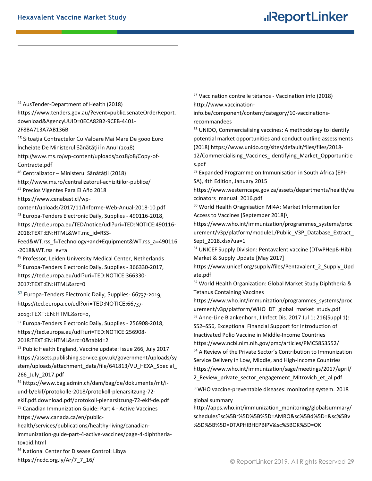**.** 

## **.**IReportLinker

<sup>44</sup> AusTender-Department of Health (2018) https://www.tenders.gov.au/?event=public.senateOrderReport. download&AgencyUUID=0ECA82B2-9CEB-4401- 2F8BA713A7AB136B

<sup>45</sup> Situația Contractelor Cu Valoare Mai Mare De 5000 Euro Încheiate De Ministerul Sănătății În Anul (2018) [http://www.ms.ro/wp-content/uploads/2018/08/Copy-of-](http://www.ms.ro/wp-content/uploads/2018/08/Copy-of-Contracte.pdf)[Contracte.pdf](http://www.ms.ro/wp-content/uploads/2018/08/Copy-of-Contracte.pdf)

<sup>46</sup> Centralizator – Ministerul Sănătății (2018)

http://www.ms.ro/centralizatorul-achizitiilor-publice/ <sup>47</sup> Precios Vigentes Para El Año 2018

https://www.cenabast.cl/wp-

content/uploads/2017/11/Informe-Web-Anual-2018-10.pdf <sup>48</sup> Europa-Tenders Electronic Daily, Supplies - 490116-2018, https://ted.europa.eu/TED/notice/udl?uri=TED:NOTICE:490116- 2018:TEXT:EN:HTML&WT.mc\_id=RSS-

Feed&WT.rss\_f=Technology+and+Equipment&WT.rss\_a=490116 -2018&WT.rss\_ev=a

49 Professor, Leiden University Medical Center, Netherlands

<sup>50</sup> Europa-Tenders Electronic Daily, Supplies - 366330-2017, https://ted.europa.eu/udl?uri=TED:NOTICE:366330- 2017:TEXT:EN:HTML&src=0

<sup>51</sup> Europa-Tenders Electronic Daily, Supplies- 66737-2019, https://ted.europa.eu/udl?uri=TED:NOTICE:66737-

2019:TEXT:EN:HTML&src=0,

<sup>52</sup> Europa-Tenders Electronic Daily, Supplies - 256908-2018, https://ted.europa.eu/udl?uri=TED:NOTICE:256908-

2018:TEXT:EN:HTML&src=0&tabId=2

<sup>53</sup> Public Health England, Vaccine update: Issue 266, July 2017 https://assets.publishing.service.gov.uk/government/uploads/sy stem/uploads/attachment\_data/file/641813/VU\_HEXA\_Special\_ 266\_July\_2017.pdf

<sup>54</sup> https://www.bag.admin.ch/dam/bag/de/dokumente/mt/iund-b/ekif/protokolle-2018/protokoll-plenarsitzung-72 ekif.pdf.download.pdf/protokoll-plenarsitzung-72-ekif-de.pdf <sup>55</sup> Canadian Immunization Guide: Part 4 - Active Vaccines https://www.canada.ca/en/public-

health/services/publications/healthy-living/canadianimmunization-guide-part-4-active-vaccines/page-4-diphtheriatoxoid.html

<sup>56</sup> National Center for Disease Control: Libya https://ncdc.org.ly/Ar/7\_7\_16/

<sup>57</sup> Vaccination contre le tétanos - Vaccination info (2018) http://www.vaccination-

info.be/component/content/category/10-vaccinationsrecommandees

<sup>58</sup> UNIDO, Commercialising vaccines: A methodology to identify potential market opportunities and conduct outline assessments (2018) https://www.unido.org/sites/default/files/files/2018-

12/Commercialising\_Vaccines\_Identifying\_Market\_Opportunitie s.pdf

<sup>59</sup> Expanded Programme on Immunisation in South Africa (EPI-SA), 4th Edition, January 2015

https://www.westerncape.gov.za/assets/departments/health/va ccinators\_manual\_2016.pdf

<sup>60</sup> World Health Oragnisation MI4A: Market Information for Access to Vaccines [September 2018]\

https://www.who.int/immunization/programmes\_systems/proc urement/v3p/platform/module1/Public\_V3P\_Database\_Extract Sept\_2018.xlsx?ua=1

<sup>61</sup> UNICEF Supply Division: Pentavalent vaccine (DTwPHepB-Hib): Market & Supply Update [May 2017]

https://www.unicef.org/supply/files/Pentavalent\_2\_Supply\_Upd ate.pdf

<sup>62</sup> World Health Organization: Global Market Study Diphtheria & Tetanus Containing Vaccines

https://www.who.int/immunization/programmes\_systems/proc urement/v3p/platform/WHO\_DT\_global\_market\_study.pdf <sup>63</sup> [Anne-Line Blankenhorn,](https://www.ncbi.nlm.nih.gov/pubmed/?term=Blankenhorn%20AL%5BAuthor%5D&cauthor=true&cauthor_uid=28838169) [J Infect Dis.](https://www.ncbi.nlm.nih.gov/pmc/articles/PMC5853552/) 2017 Jul 1; 216(Suppl 1): S52–S56, Exceptional Financial Support for Introduction of Inactivated Polio Vaccine in Middle-Income Countries https://www.ncbi.nlm.nih.gov/pmc/articles/PMC5853552/ <sup>64</sup> A Review of the Private Sector's Contribution to Immunization Service Delivery in Low, Middle, and High-Income Countries https://www.who.int/immunization/sage/meetings/2017/april/ 2\_Review\_private\_sector\_engagement\_Mitrovich\_et\_al.pdf

<sup>65</sup>WHO vaccine-preventable diseases: monitoring system. 2018

global summary

http://apps.who.int/immunization\_monitoring/globalsummary/ schedules?sc%5Br%5D%5B%5D=AMRO&sc%5Bd%5D=&sc%5Bv %5D%5B%5D=DTAPHIBHEPBIPV&sc%5BOK%5D=OK